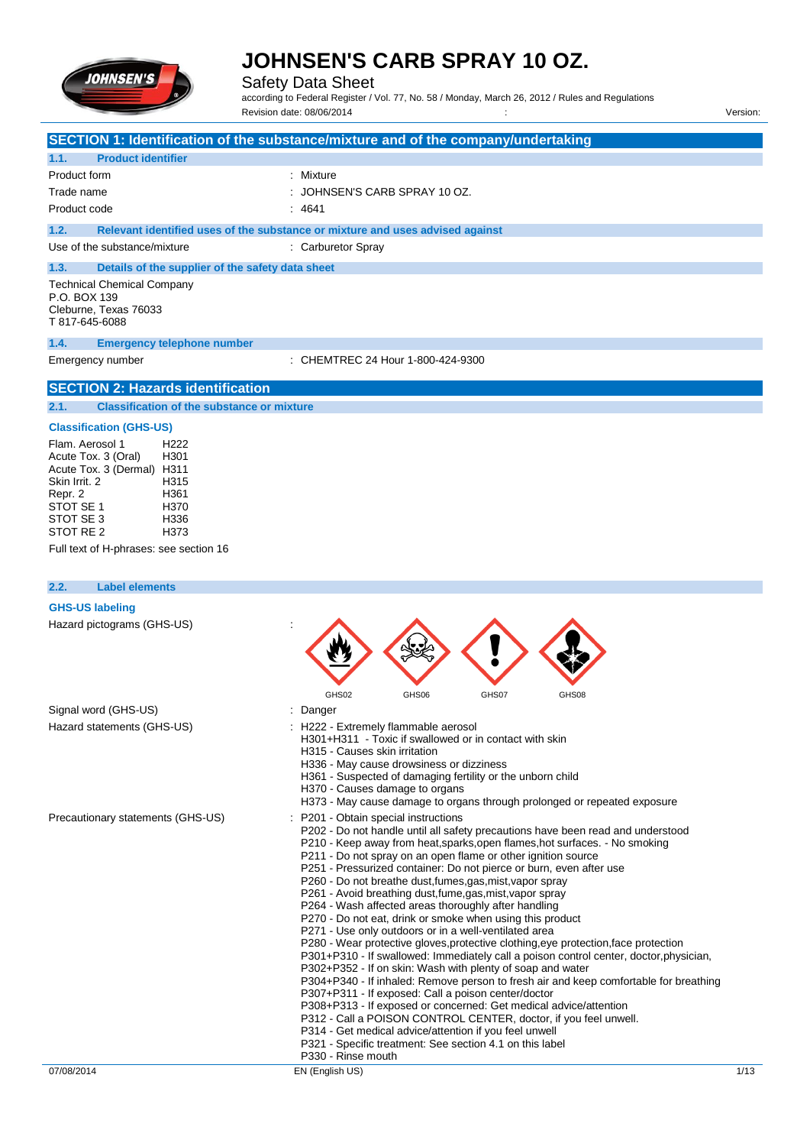

Safety Data Sheet

according to Federal Register / Vol. 77, No. 58 / Monday, March 26, 2012 / Rules and Regulations Revision date: 08/06/2014 Version:

|                                                                                                                                                                                                                                           | SECTION 1: Identification of the substance/mixture and of the company/undertaking                                                                                                                                                                                                                                                                                                                                                                                                                                                                                                                                                                                                                                                                                                                                                                                                                                                                                                                                                                                                                                                                                                                                                                                                                                                        |      |
|-------------------------------------------------------------------------------------------------------------------------------------------------------------------------------------------------------------------------------------------|------------------------------------------------------------------------------------------------------------------------------------------------------------------------------------------------------------------------------------------------------------------------------------------------------------------------------------------------------------------------------------------------------------------------------------------------------------------------------------------------------------------------------------------------------------------------------------------------------------------------------------------------------------------------------------------------------------------------------------------------------------------------------------------------------------------------------------------------------------------------------------------------------------------------------------------------------------------------------------------------------------------------------------------------------------------------------------------------------------------------------------------------------------------------------------------------------------------------------------------------------------------------------------------------------------------------------------------|------|
| 1.1.<br><b>Product identifier</b>                                                                                                                                                                                                         |                                                                                                                                                                                                                                                                                                                                                                                                                                                                                                                                                                                                                                                                                                                                                                                                                                                                                                                                                                                                                                                                                                                                                                                                                                                                                                                                          |      |
| Product form                                                                                                                                                                                                                              | : Mixture                                                                                                                                                                                                                                                                                                                                                                                                                                                                                                                                                                                                                                                                                                                                                                                                                                                                                                                                                                                                                                                                                                                                                                                                                                                                                                                                |      |
| Trade name                                                                                                                                                                                                                                | JOHNSEN'S CARB SPRAY 10 OZ.                                                                                                                                                                                                                                                                                                                                                                                                                                                                                                                                                                                                                                                                                                                                                                                                                                                                                                                                                                                                                                                                                                                                                                                                                                                                                                              |      |
| Product code                                                                                                                                                                                                                              | : 4641                                                                                                                                                                                                                                                                                                                                                                                                                                                                                                                                                                                                                                                                                                                                                                                                                                                                                                                                                                                                                                                                                                                                                                                                                                                                                                                                   |      |
| 1.2.                                                                                                                                                                                                                                      | Relevant identified uses of the substance or mixture and uses advised against                                                                                                                                                                                                                                                                                                                                                                                                                                                                                                                                                                                                                                                                                                                                                                                                                                                                                                                                                                                                                                                                                                                                                                                                                                                            |      |
| Use of the substance/mixture                                                                                                                                                                                                              | : Carburetor Spray                                                                                                                                                                                                                                                                                                                                                                                                                                                                                                                                                                                                                                                                                                                                                                                                                                                                                                                                                                                                                                                                                                                                                                                                                                                                                                                       |      |
| Details of the supplier of the safety data sheet<br>1.3.                                                                                                                                                                                  |                                                                                                                                                                                                                                                                                                                                                                                                                                                                                                                                                                                                                                                                                                                                                                                                                                                                                                                                                                                                                                                                                                                                                                                                                                                                                                                                          |      |
| <b>Technical Chemical Company</b><br>P.O. BOX 139<br>Cleburne, Texas 76033<br>T 817-645-6088                                                                                                                                              |                                                                                                                                                                                                                                                                                                                                                                                                                                                                                                                                                                                                                                                                                                                                                                                                                                                                                                                                                                                                                                                                                                                                                                                                                                                                                                                                          |      |
| 1.4.<br><b>Emergency telephone number</b>                                                                                                                                                                                                 |                                                                                                                                                                                                                                                                                                                                                                                                                                                                                                                                                                                                                                                                                                                                                                                                                                                                                                                                                                                                                                                                                                                                                                                                                                                                                                                                          |      |
| Emergency number                                                                                                                                                                                                                          | : CHEMTREC 24 Hour 1-800-424-9300                                                                                                                                                                                                                                                                                                                                                                                                                                                                                                                                                                                                                                                                                                                                                                                                                                                                                                                                                                                                                                                                                                                                                                                                                                                                                                        |      |
| <b>SECTION 2: Hazards identification</b>                                                                                                                                                                                                  |                                                                                                                                                                                                                                                                                                                                                                                                                                                                                                                                                                                                                                                                                                                                                                                                                                                                                                                                                                                                                                                                                                                                                                                                                                                                                                                                          |      |
| 2.1.<br><b>Classification of the substance or mixture</b>                                                                                                                                                                                 |                                                                                                                                                                                                                                                                                                                                                                                                                                                                                                                                                                                                                                                                                                                                                                                                                                                                                                                                                                                                                                                                                                                                                                                                                                                                                                                                          |      |
| <b>Classification (GHS-US)</b>                                                                                                                                                                                                            |                                                                                                                                                                                                                                                                                                                                                                                                                                                                                                                                                                                                                                                                                                                                                                                                                                                                                                                                                                                                                                                                                                                                                                                                                                                                                                                                          |      |
| Flam. Aerosol 1<br>H222<br>Acute Tox. 3 (Oral)<br>H301<br>Acute Tox. 3 (Dermal) H311<br>Skin Irrit, 2<br>H315<br>Repr. 2<br>H361<br>STOT SE 1<br>H370<br>STOT SE 3<br>H336<br>STOT RE 2<br>H373<br>Full text of H-phrases: see section 16 |                                                                                                                                                                                                                                                                                                                                                                                                                                                                                                                                                                                                                                                                                                                                                                                                                                                                                                                                                                                                                                                                                                                                                                                                                                                                                                                                          |      |
| 2.2.<br><b>Label elements</b>                                                                                                                                                                                                             |                                                                                                                                                                                                                                                                                                                                                                                                                                                                                                                                                                                                                                                                                                                                                                                                                                                                                                                                                                                                                                                                                                                                                                                                                                                                                                                                          |      |
| <b>GHS-US labeling</b>                                                                                                                                                                                                                    |                                                                                                                                                                                                                                                                                                                                                                                                                                                                                                                                                                                                                                                                                                                                                                                                                                                                                                                                                                                                                                                                                                                                                                                                                                                                                                                                          |      |
| Hazard pictograms (GHS-US)                                                                                                                                                                                                                | GHS02<br>GHS06<br>GHS07<br>GHS08                                                                                                                                                                                                                                                                                                                                                                                                                                                                                                                                                                                                                                                                                                                                                                                                                                                                                                                                                                                                                                                                                                                                                                                                                                                                                                         |      |
| Signal word (GHS-US)                                                                                                                                                                                                                      | Danger                                                                                                                                                                                                                                                                                                                                                                                                                                                                                                                                                                                                                                                                                                                                                                                                                                                                                                                                                                                                                                                                                                                                                                                                                                                                                                                                   |      |
| Hazard statements (GHS-US)                                                                                                                                                                                                                | H222 - Extremely flammable aerosol<br>H301+H311 - Toxic if swallowed or in contact with skin<br>H315 - Causes skin irritation<br>H336 - May cause drowsiness or dizziness<br>H361 - Suspected of damaging fertility or the unborn child<br>H370 - Causes damage to organs<br>H373 - May cause damage to organs through prolonged or repeated exposure                                                                                                                                                                                                                                                                                                                                                                                                                                                                                                                                                                                                                                                                                                                                                                                                                                                                                                                                                                                    |      |
| Precautionary statements (GHS-US)                                                                                                                                                                                                         | P201 - Obtain special instructions<br>P202 - Do not handle until all safety precautions have been read and understood<br>P210 - Keep away from heat, sparks, open flames, hot surfaces. - No smoking<br>P211 - Do not spray on an open flame or other ignition source<br>P251 - Pressurized container: Do not pierce or burn, even after use<br>P260 - Do not breathe dust, fumes, gas, mist, vapor spray<br>P261 - Avoid breathing dust, fume, gas, mist, vapor spray<br>P264 - Wash affected areas thoroughly after handling<br>P270 - Do not eat, drink or smoke when using this product<br>P271 - Use only outdoors or in a well-ventilated area<br>P280 - Wear protective gloves, protective clothing, eye protection, face protection<br>P301+P310 - If swallowed: Immediately call a poison control center, doctor, physician,<br>P302+P352 - If on skin: Wash with plenty of soap and water<br>P304+P340 - If inhaled: Remove person to fresh air and keep comfortable for breathing<br>P307+P311 - If exposed: Call a poison center/doctor<br>P308+P313 - If exposed or concerned: Get medical advice/attention<br>P312 - Call a POISON CONTROL CENTER, doctor, if you feel unwell.<br>P314 - Get medical advice/attention if you feel unwell<br>P321 - Specific treatment: See section 4.1 on this label<br>P330 - Rinse mouth |      |
| 07/08/2014                                                                                                                                                                                                                                | EN (English US)                                                                                                                                                                                                                                                                                                                                                                                                                                                                                                                                                                                                                                                                                                                                                                                                                                                                                                                                                                                                                                                                                                                                                                                                                                                                                                                          | 1/13 |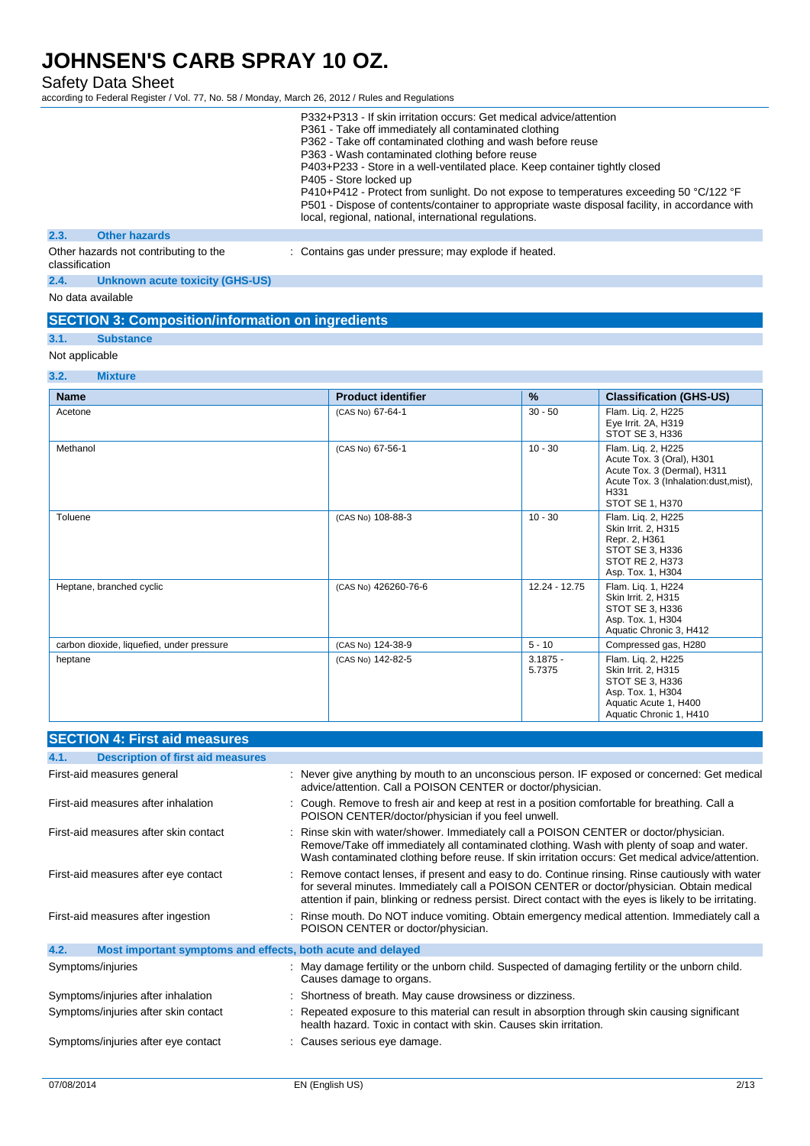Safety Data Sheet

according to Federal Register / Vol. 77, No. 58 / Monday, March 26, 2012 / Rules and Regulations

|                |                                       | P332+P313 - If skin irritation occurs: Get medical advice/attention<br>P361 - Take off immediately all contaminated clothing<br>P362 - Take off contaminated clothing and wash before reuse<br>P363 - Wash contaminated clothing before reuse<br>P403+P233 - Store in a well-ventilated place. Keep container tightly closed<br>P405 - Store locked up<br>P410+P412 - Protect from sunlight. Do not expose to temperatures exceeding 50 °C/122 °F<br>P501 - Dispose of contents/container to appropriate waste disposal facility, in accordance with<br>local, regional, national, international regulations. |
|----------------|---------------------------------------|---------------------------------------------------------------------------------------------------------------------------------------------------------------------------------------------------------------------------------------------------------------------------------------------------------------------------------------------------------------------------------------------------------------------------------------------------------------------------------------------------------------------------------------------------------------------------------------------------------------|
| 2.3.           | <b>Other hazards</b>                  |                                                                                                                                                                                                                                                                                                                                                                                                                                                                                                                                                                                                               |
| classification | Other hazards not contributing to the | : Contains gas under pressure; may explode if heated.                                                                                                                                                                                                                                                                                                                                                                                                                                                                                                                                                         |

**2.4. Unknown acute toxicity (GHS-US)**

No data available

| <b>SECTION 3: Composition/information on ingredients</b> |  |
|----------------------------------------------------------|--|
|                                                          |  |

## **3.1. Substance**

## Not applicable

| 3.2.<br><b>Mixture</b>                    |                           |                      |                                                                                                                                                    |
|-------------------------------------------|---------------------------|----------------------|----------------------------------------------------------------------------------------------------------------------------------------------------|
| <b>Name</b>                               | <b>Product identifier</b> | $\frac{9}{6}$        | <b>Classification (GHS-US)</b>                                                                                                                     |
| Acetone                                   | (CAS No) 67-64-1          | $30 - 50$            | Flam. Lig. 2, H225<br>Eye Irrit. 2A, H319<br>STOT SE 3, H336                                                                                       |
| Methanol                                  | (CAS No) 67-56-1          | $10 - 30$            | Flam. Liq. 2, H225<br>Acute Tox. 3 (Oral), H301<br>Acute Tox. 3 (Dermal), H311<br>Acute Tox. 3 (Inhalation:dust, mist),<br>H331<br>STOT SE 1, H370 |
| Toluene                                   | (CAS No) 108-88-3         | $10 - 30$            | Flam. Lig. 2, H225<br>Skin Irrit. 2, H315<br>Repr. 2, H361<br>STOT SE 3, H336<br><b>STOT RE 2, H373</b><br>Asp. Tox. 1, H304                       |
| Heptane, branched cyclic                  | (CAS No) 426260-76-6      | 12.24 - 12.75        | Flam. Liq. 1, H224<br>Skin Irrit. 2, H315<br>STOT SE 3, H336<br>Asp. Tox. 1, H304<br>Aquatic Chronic 3, H412                                       |
| carbon dioxide, liquefied, under pressure | (CAS No) 124-38-9         | $5 - 10$             | Compressed gas, H280                                                                                                                               |
| heptane                                   | (CAS No) 142-82-5         | $3.1875 -$<br>5.7375 | Flam. Liq. 2, H225<br>Skin Irrit. 2, H315<br>STOT SE 3, H336<br>Asp. Tox. 1, H304<br>Aquatic Acute 1, H400<br>Aquatic Chronic 1, H410              |

| <b>SECTION 4: First aid measures</b>                                |                                                                                                                                                                                                                                                                                                          |
|---------------------------------------------------------------------|----------------------------------------------------------------------------------------------------------------------------------------------------------------------------------------------------------------------------------------------------------------------------------------------------------|
| <b>Description of first aid measures</b><br>4.1.                    |                                                                                                                                                                                                                                                                                                          |
| First-aid measures general                                          | : Never give anything by mouth to an unconscious person. IF exposed or concerned: Get medical<br>advice/attention. Call a POISON CENTER or doctor/physician.                                                                                                                                             |
| First-aid measures after inhalation                                 | Cough. Remove to fresh air and keep at rest in a position comfortable for breathing. Call a<br>POISON CENTER/doctor/physician if you feel unwell.                                                                                                                                                        |
| First-aid measures after skin contact                               | Rinse skin with water/shower. Immediately call a POISON CENTER or doctor/physician.<br>Remove/Take off immediately all contaminated clothing. Wash with plenty of soap and water.<br>Wash contaminated clothing before reuse. If skin irritation occurs: Get medical advice/attention.                   |
| First-aid measures after eye contact                                | Remove contact lenses, if present and easy to do. Continue rinsing. Rinse cautiously with water<br>for several minutes. Immediately call a POISON CENTER or doctor/physician. Obtain medical<br>attention if pain, blinking or redness persist. Direct contact with the eyes is likely to be irritating. |
| First-aid measures after ingestion                                  | Rinse mouth. Do NOT induce vomiting. Obtain emergency medical attention. Immediately call a<br>POISON CENTER or doctor/physician.                                                                                                                                                                        |
| 4.2.<br>Most important symptoms and effects, both acute and delayed |                                                                                                                                                                                                                                                                                                          |
| Symptoms/injuries                                                   | : May damage fertility or the unborn child. Suspected of damaging fertility or the unborn child.<br>Causes damage to organs.                                                                                                                                                                             |
| Symptoms/injuries after inhalation                                  | Shortness of breath. May cause drowsiness or dizziness.                                                                                                                                                                                                                                                  |
| Symptoms/injuries after skin contact                                | Repeated exposure to this material can result in absorption through skin causing significant<br>health hazard. Toxic in contact with skin. Causes skin irritation.                                                                                                                                       |
| Symptoms/injuries after eye contact                                 | Causes serious eye damage.                                                                                                                                                                                                                                                                               |
|                                                                     |                                                                                                                                                                                                                                                                                                          |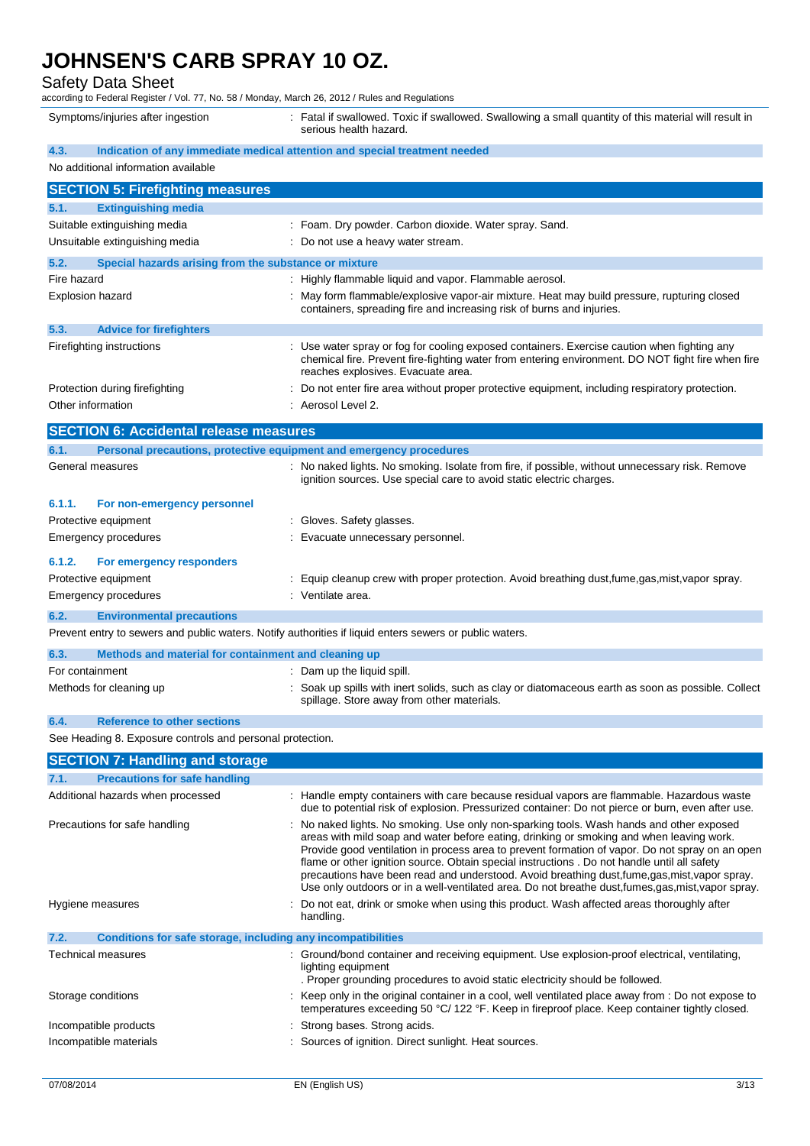Safety Data Sheet

according to Federal Register / Vol. 77, No. 58 / Monday, March 26, 2012 / Rules and Regulations

Symptoms/injuries after ingestion : Fatal if swallowed. Toxic if swallowed. Swallowing a small quantity of this material will result in serious health hazard.

| 4.3.                                                                                                    | Indication of any immediate medical attention and special treatment needed                                                                                                                                                                                                                                                                                                                                                                                                                                                                                                                     |  |  |
|---------------------------------------------------------------------------------------------------------|------------------------------------------------------------------------------------------------------------------------------------------------------------------------------------------------------------------------------------------------------------------------------------------------------------------------------------------------------------------------------------------------------------------------------------------------------------------------------------------------------------------------------------------------------------------------------------------------|--|--|
| No additional information available                                                                     |                                                                                                                                                                                                                                                                                                                                                                                                                                                                                                                                                                                                |  |  |
| <b>SECTION 5: Firefighting measures</b>                                                                 |                                                                                                                                                                                                                                                                                                                                                                                                                                                                                                                                                                                                |  |  |
| 5.1.<br><b>Extinguishing media</b>                                                                      |                                                                                                                                                                                                                                                                                                                                                                                                                                                                                                                                                                                                |  |  |
| Suitable extinguishing media                                                                            | : Foam. Dry powder. Carbon dioxide. Water spray. Sand.                                                                                                                                                                                                                                                                                                                                                                                                                                                                                                                                         |  |  |
| Unsuitable extinguishing media                                                                          | Do not use a heavy water stream.                                                                                                                                                                                                                                                                                                                                                                                                                                                                                                                                                               |  |  |
| 5.2.<br>Special hazards arising from the substance or mixture                                           |                                                                                                                                                                                                                                                                                                                                                                                                                                                                                                                                                                                                |  |  |
| Fire hazard                                                                                             | Highly flammable liquid and vapor. Flammable aerosol.                                                                                                                                                                                                                                                                                                                                                                                                                                                                                                                                          |  |  |
| <b>Explosion hazard</b>                                                                                 | May form flammable/explosive vapor-air mixture. Heat may build pressure, rupturing closed<br>containers, spreading fire and increasing risk of burns and injuries.                                                                                                                                                                                                                                                                                                                                                                                                                             |  |  |
| 5.3.<br><b>Advice for firefighters</b>                                                                  |                                                                                                                                                                                                                                                                                                                                                                                                                                                                                                                                                                                                |  |  |
| Firefighting instructions                                                                               | Use water spray or fog for cooling exposed containers. Exercise caution when fighting any<br>chemical fire. Prevent fire-fighting water from entering environment. DO NOT fight fire when fire<br>reaches explosives. Evacuate area.                                                                                                                                                                                                                                                                                                                                                           |  |  |
| Protection during firefighting                                                                          | Do not enter fire area without proper protective equipment, including respiratory protection.                                                                                                                                                                                                                                                                                                                                                                                                                                                                                                  |  |  |
| Other information                                                                                       | Aerosol Level 2.                                                                                                                                                                                                                                                                                                                                                                                                                                                                                                                                                                               |  |  |
| <b>SECTION 6: Accidental release measures</b>                                                           |                                                                                                                                                                                                                                                                                                                                                                                                                                                                                                                                                                                                |  |  |
| 6.1.<br>Personal precautions, protective equipment and emergency procedures                             |                                                                                                                                                                                                                                                                                                                                                                                                                                                                                                                                                                                                |  |  |
| General measures                                                                                        | No naked lights. No smoking. Isolate from fire, if possible, without unnecessary risk. Remove<br>ignition sources. Use special care to avoid static electric charges.                                                                                                                                                                                                                                                                                                                                                                                                                          |  |  |
| 6.1.1.<br>For non-emergency personnel                                                                   |                                                                                                                                                                                                                                                                                                                                                                                                                                                                                                                                                                                                |  |  |
| Protective equipment                                                                                    | Gloves. Safety glasses.                                                                                                                                                                                                                                                                                                                                                                                                                                                                                                                                                                        |  |  |
| Emergency procedures                                                                                    | Evacuate unnecessary personnel.                                                                                                                                                                                                                                                                                                                                                                                                                                                                                                                                                                |  |  |
| 6.1.2.<br>For emergency responders                                                                      |                                                                                                                                                                                                                                                                                                                                                                                                                                                                                                                                                                                                |  |  |
| Protective equipment                                                                                    | Equip cleanup crew with proper protection. Avoid breathing dust, fume, gas, mist, vapor spray.                                                                                                                                                                                                                                                                                                                                                                                                                                                                                                 |  |  |
| Emergency procedures                                                                                    | : Ventilate area.                                                                                                                                                                                                                                                                                                                                                                                                                                                                                                                                                                              |  |  |
| 6.2.<br><b>Environmental precautions</b>                                                                |                                                                                                                                                                                                                                                                                                                                                                                                                                                                                                                                                                                                |  |  |
| Prevent entry to sewers and public waters. Notify authorities if liquid enters sewers or public waters. |                                                                                                                                                                                                                                                                                                                                                                                                                                                                                                                                                                                                |  |  |
| Methods and material for containment and cleaning up<br>6.3.                                            |                                                                                                                                                                                                                                                                                                                                                                                                                                                                                                                                                                                                |  |  |
| For containment                                                                                         | Dam up the liquid spill.                                                                                                                                                                                                                                                                                                                                                                                                                                                                                                                                                                       |  |  |
| Methods for cleaning up                                                                                 | Soak up spills with inert solids, such as clay or diatomaceous earth as soon as possible. Collect<br>spillage. Store away from other materials.                                                                                                                                                                                                                                                                                                                                                                                                                                                |  |  |
| <b>Reference to other sections</b><br>6.4.                                                              |                                                                                                                                                                                                                                                                                                                                                                                                                                                                                                                                                                                                |  |  |
| See Heading 8. Exposure controls and personal protection.                                               |                                                                                                                                                                                                                                                                                                                                                                                                                                                                                                                                                                                                |  |  |
| <b>SECTION 7: Handling and storage</b>                                                                  |                                                                                                                                                                                                                                                                                                                                                                                                                                                                                                                                                                                                |  |  |
| <b>Precautions for safe handling</b><br>7.1.                                                            |                                                                                                                                                                                                                                                                                                                                                                                                                                                                                                                                                                                                |  |  |
| Additional hazards when processed                                                                       | Handle empty containers with care because residual vapors are flammable. Hazardous waste<br>due to potential risk of explosion. Pressurized container: Do not pierce or burn, even after use.                                                                                                                                                                                                                                                                                                                                                                                                  |  |  |
| Precautions for safe handling                                                                           | No naked lights. No smoking. Use only non-sparking tools. Wash hands and other exposed<br>areas with mild soap and water before eating, drinking or smoking and when leaving work.<br>Provide good ventilation in process area to prevent formation of vapor. Do not spray on an open<br>flame or other ignition source. Obtain special instructions . Do not handle until all safety<br>precautions have been read and understood. Avoid breathing dust, fume, gas, mist, vapor spray.<br>Use only outdoors or in a well-ventilated area. Do not breathe dust, fumes, gas, mist, vapor spray. |  |  |
| Hygiene measures                                                                                        | : Do not eat, drink or smoke when using this product. Wash affected areas thoroughly after<br>handling.                                                                                                                                                                                                                                                                                                                                                                                                                                                                                        |  |  |
| 7.2.<br><b>Conditions for safe storage, including any incompatibilities</b>                             |                                                                                                                                                                                                                                                                                                                                                                                                                                                                                                                                                                                                |  |  |
| Technical measures                                                                                      | : Ground/bond container and receiving equipment. Use explosion-proof electrical, ventilating,<br>lighting equipment<br>. Proper grounding procedures to avoid static electricity should be followed.                                                                                                                                                                                                                                                                                                                                                                                           |  |  |
| Storage conditions                                                                                      | Keep only in the original container in a cool, well ventilated place away from : Do not expose to<br>temperatures exceeding 50 °C/ 122 °F. Keep in fireproof place. Keep container tightly closed.                                                                                                                                                                                                                                                                                                                                                                                             |  |  |
| Incompatible products                                                                                   | Strong bases. Strong acids.                                                                                                                                                                                                                                                                                                                                                                                                                                                                                                                                                                    |  |  |
| Incompatible materials                                                                                  | Sources of ignition. Direct sunlight. Heat sources.                                                                                                                                                                                                                                                                                                                                                                                                                                                                                                                                            |  |  |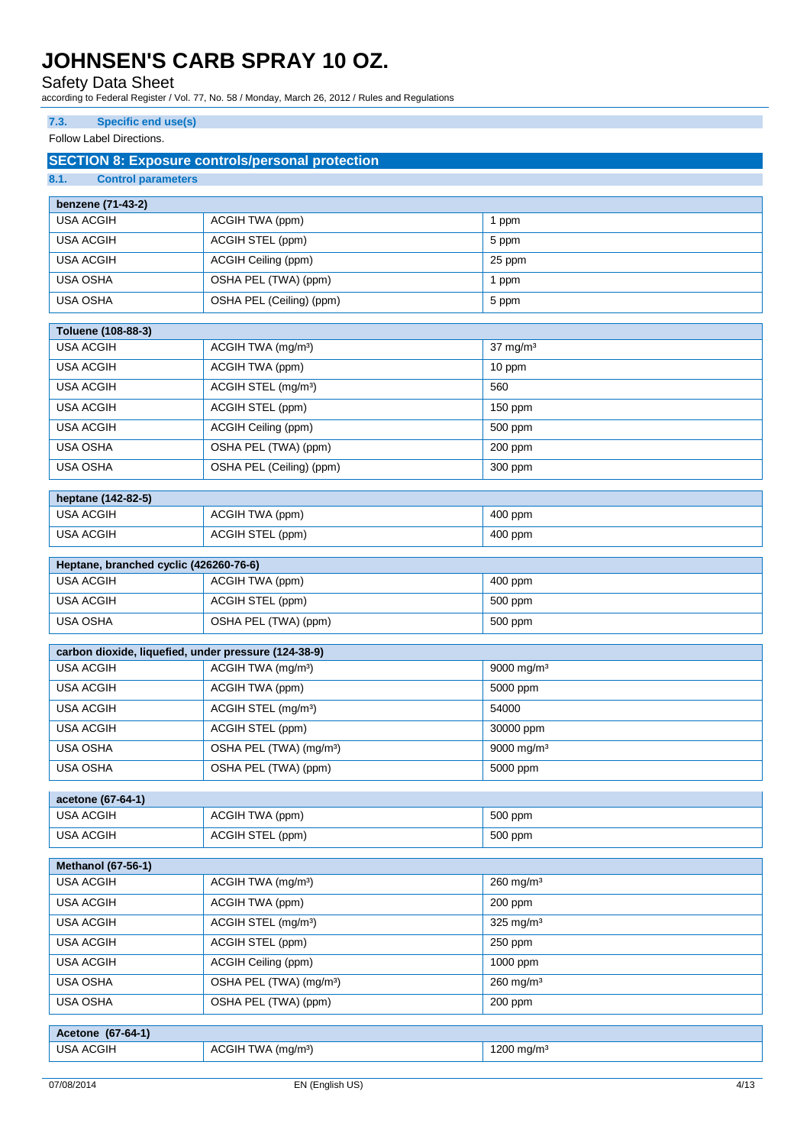Safety Data Sheet

according to Federal Register / Vol. 77, No. 58 / Monday, March 26, 2012 / Rules and Regulations

### **7.3. Specific end use(s)**

Follow Label Directions.

## **SECTION 8: Exposure controls/personal protection**

| 8.1.<br><b>Control parameters</b>                    |                                     |                         |  |  |
|------------------------------------------------------|-------------------------------------|-------------------------|--|--|
| benzene (71-43-2)                                    |                                     |                         |  |  |
| <b>USA ACGIH</b>                                     | ACGIH TWA (ppm)                     | 1 ppm                   |  |  |
| <b>USA ACGIH</b>                                     | ACGIH STEL (ppm)                    | 5 ppm                   |  |  |
| <b>USA ACGIH</b>                                     | ACGIH Ceiling (ppm)                 | 25 ppm                  |  |  |
| <b>USA OSHA</b>                                      | OSHA PEL (TWA) (ppm)                | 1 ppm                   |  |  |
| <b>USA OSHA</b>                                      | OSHA PEL (Ceiling) (ppm)            | 5 ppm                   |  |  |
| Toluene (108-88-3)                                   |                                     |                         |  |  |
| <b>USA ACGIH</b>                                     | ACGIH TWA (mg/m <sup>3</sup> )      | $37 \text{ mg/m}^3$     |  |  |
| <b>USA ACGIH</b>                                     | ACGIH TWA (ppm)                     | 10 ppm                  |  |  |
| <b>USA ACGIH</b>                                     | ACGIH STEL (mg/m <sup>3</sup> )     | 560                     |  |  |
| <b>USA ACGIH</b>                                     | ACGIH STEL (ppm)                    | 150 ppm                 |  |  |
| <b>USA ACGIH</b>                                     | ACGIH Ceiling (ppm)                 | 500 ppm                 |  |  |
| <b>USA OSHA</b>                                      | OSHA PEL (TWA) (ppm)                | 200 ppm                 |  |  |
| USA OSHA                                             | OSHA PEL (Ceiling) (ppm)            | 300 ppm                 |  |  |
|                                                      |                                     |                         |  |  |
| heptane (142-82-5)<br><b>USA ACGIH</b>               | ACGIH TWA (ppm)                     | 400 ppm                 |  |  |
| <b>USA ACGIH</b>                                     | ACGIH STEL (ppm)                    | 400 ppm                 |  |  |
|                                                      |                                     |                         |  |  |
| Heptane, branched cyclic (426260-76-6)               |                                     |                         |  |  |
| <b>USA ACGIH</b>                                     | ACGIH TWA (ppm)                     | 400 ppm                 |  |  |
| <b>USA ACGIH</b>                                     | ACGIH STEL (ppm)                    | 500 ppm                 |  |  |
| <b>USA OSHA</b>                                      | OSHA PEL (TWA) (ppm)                | 500 ppm                 |  |  |
| carbon dioxide, liquefied, under pressure (124-38-9) |                                     |                         |  |  |
| <b>USA ACGIH</b>                                     | ACGIH TWA (mg/m <sup>3</sup> )      | 9000 mg/m <sup>3</sup>  |  |  |
| <b>USA ACGIH</b>                                     | ACGIH TWA (ppm)                     | 5000 ppm                |  |  |
| <b>USA ACGIH</b>                                     | ACGIH STEL (mg/m <sup>3</sup> )     | 54000                   |  |  |
| <b>USA ACGIH</b>                                     | ACGIH STEL (ppm)                    | 30000 ppm               |  |  |
| USA OSHA                                             | OSHA PEL (TWA) (mg/m <sup>3</sup> ) | 9000 mg/m <sup>3</sup>  |  |  |
| USA OSHA                                             | OSHA PEL (TWA) (ppm)                | 5000 ppm                |  |  |
| acetone (67-64-1)                                    |                                     |                         |  |  |
| <b>USA ACGIH</b>                                     | ACGIH TWA (ppm)                     | 500 ppm                 |  |  |
| <b>USA ACGIH</b>                                     | ACGIH STEL (ppm)                    | 500 ppm                 |  |  |
|                                                      |                                     |                         |  |  |
| Methanol (67-56-1)<br><b>USA ACGIH</b>               | ACGIH TWA (mg/m <sup>3</sup> )      | $260$ mg/m <sup>3</sup> |  |  |
| <b>USA ACGIH</b>                                     | ACGIH TWA (ppm)                     | 200 ppm                 |  |  |
| <b>USA ACGIH</b>                                     | ACGIH STEL (mg/m <sup>3</sup> )     | $325$ mg/m <sup>3</sup> |  |  |
| <b>USA ACGIH</b>                                     | ACGIH STEL (ppm)                    | 250 ppm                 |  |  |
| <b>USA ACGIH</b>                                     | ACGIH Ceiling (ppm)                 | 1000 ppm                |  |  |
| USA OSHA                                             | OSHA PEL (TWA) (mg/m <sup>3</sup> ) | $260$ mg/m <sup>3</sup> |  |  |
| USA OSHA                                             | OSHA PEL (TWA) (ppm)                | 200 ppm                 |  |  |
|                                                      |                                     |                         |  |  |
| Acetone (67-64-1)<br><b>USA ACGIH</b>                | ACGIH TWA (mg/m <sup>3</sup> )      | 1200 mg/m <sup>3</sup>  |  |  |
|                                                      |                                     |                         |  |  |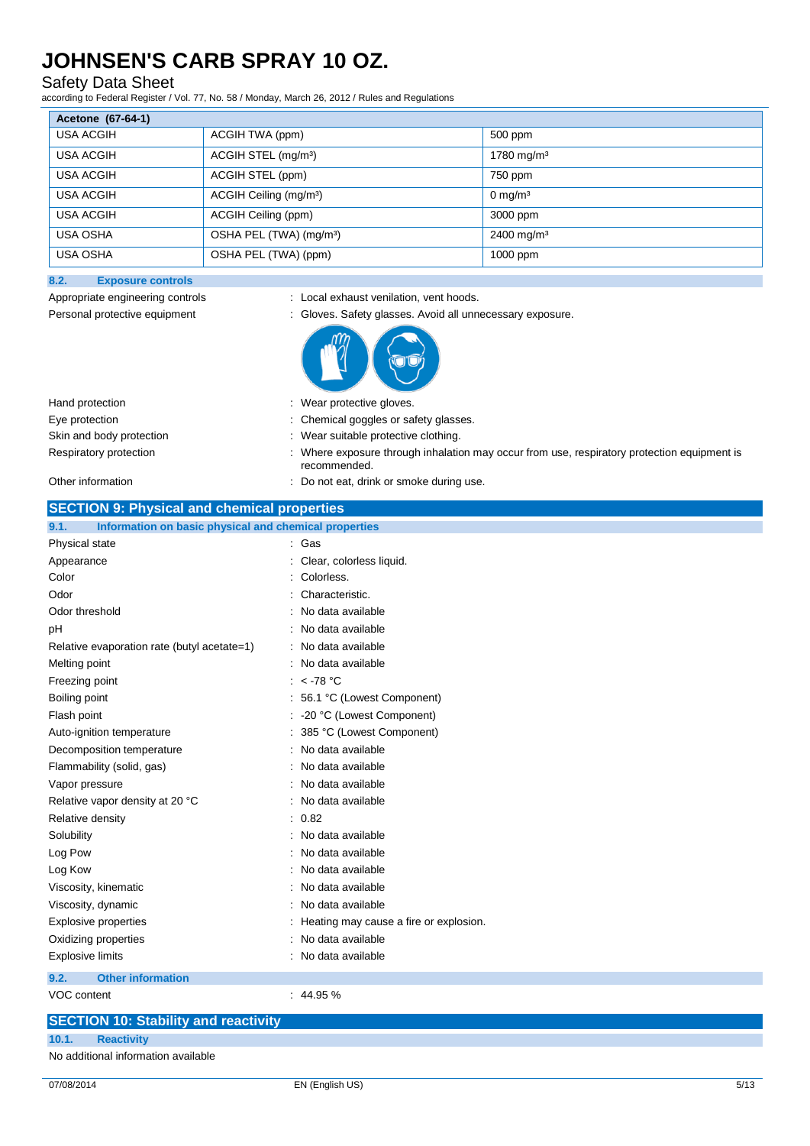### Safety Data Sheet

according to Federal Register / Vol. 77, No. 58 / Monday, March 26, 2012 / Rules and Regulations

| Acetone (67-64-1) |                                     |                        |
|-------------------|-------------------------------------|------------------------|
| <b>USA ACGIH</b>  | ACGIH TWA (ppm)                     | 500 ppm                |
| <b>USA ACGIH</b>  | ACGIH STEL (mg/m <sup>3</sup> )     | 1780 mg/m <sup>3</sup> |
| <b>USA ACGIH</b>  | ACGIH STEL (ppm)                    | 750 ppm                |
| USA ACGIH         | ACGIH Ceiling (mg/m <sup>3</sup> )  | $0 \text{ mg/m}^3$     |
| USA ACGIH         | ACGIH Ceiling (ppm)                 | 3000 ppm               |
| <b>USA OSHA</b>   | OSHA PEL (TWA) (mg/m <sup>3</sup> ) | $2400 \text{ mg/m}^3$  |
| <b>USA OSHA</b>   | OSHA PEL (TWA) (ppm)                | 1000 ppm               |

### **8.2. Exposure controls**

Appropriate engineering controls : Local exhaust venilation, vent hoods.



| : Wear protective gloves.                                                                                   |
|-------------------------------------------------------------------------------------------------------------|
| : Chemical goggles or safety glasses.                                                                       |
| Wear suitable protective clothing.                                                                          |
| : Where exposure through inhalation may occur from use, respiratory protection equipment is<br>recommended. |
|                                                                                                             |

#### Other information  $\qquad \qquad$ : Do not eat, drink or smoke during use.

| <b>SECTION 9: Physical and chemical properties</b>            |                                        |  |
|---------------------------------------------------------------|----------------------------------------|--|
| Information on basic physical and chemical properties<br>9.1. |                                        |  |
| Physical state                                                | Gas                                    |  |
| Appearance                                                    | Clear, colorless liquid.               |  |
| Color                                                         | Colorless.                             |  |
| Odor                                                          | Characteristic.                        |  |
| Odor threshold                                                | No data available                      |  |
| рH                                                            | No data available                      |  |
| Relative evaporation rate (butyl acetate=1)                   | No data available                      |  |
| Melting point                                                 | No data available                      |  |
| Freezing point                                                | : $<$ -78 °C                           |  |
| Boiling point                                                 | 56.1 °C (Lowest Component)             |  |
| Flash point                                                   | -20 °C (Lowest Component)              |  |
| Auto-ignition temperature                                     | 385 °C (Lowest Component)              |  |
| Decomposition temperature                                     | No data available                      |  |
| Flammability (solid, gas)                                     | No data available                      |  |
| Vapor pressure                                                | No data available                      |  |
| Relative vapor density at 20 °C                               | No data available                      |  |
| Relative density                                              | 0.82                                   |  |
| Solubility                                                    | No data available                      |  |
| Log Pow                                                       | No data available                      |  |
| Log Kow                                                       | No data available                      |  |
| Viscosity, kinematic                                          | No data available                      |  |
| Viscosity, dynamic                                            | No data available                      |  |
| <b>Explosive properties</b>                                   | Heating may cause a fire or explosion. |  |
| Oxidizing properties                                          | No data available                      |  |
| <b>Explosive limits</b>                                       | No data available                      |  |
| 9.2.<br><b>Other information</b>                              |                                        |  |
| <b>VOC content</b>                                            | : 44.95%                               |  |
| <b>SECTION 10: Stability and reactivity</b>                   |                                        |  |

No additional information available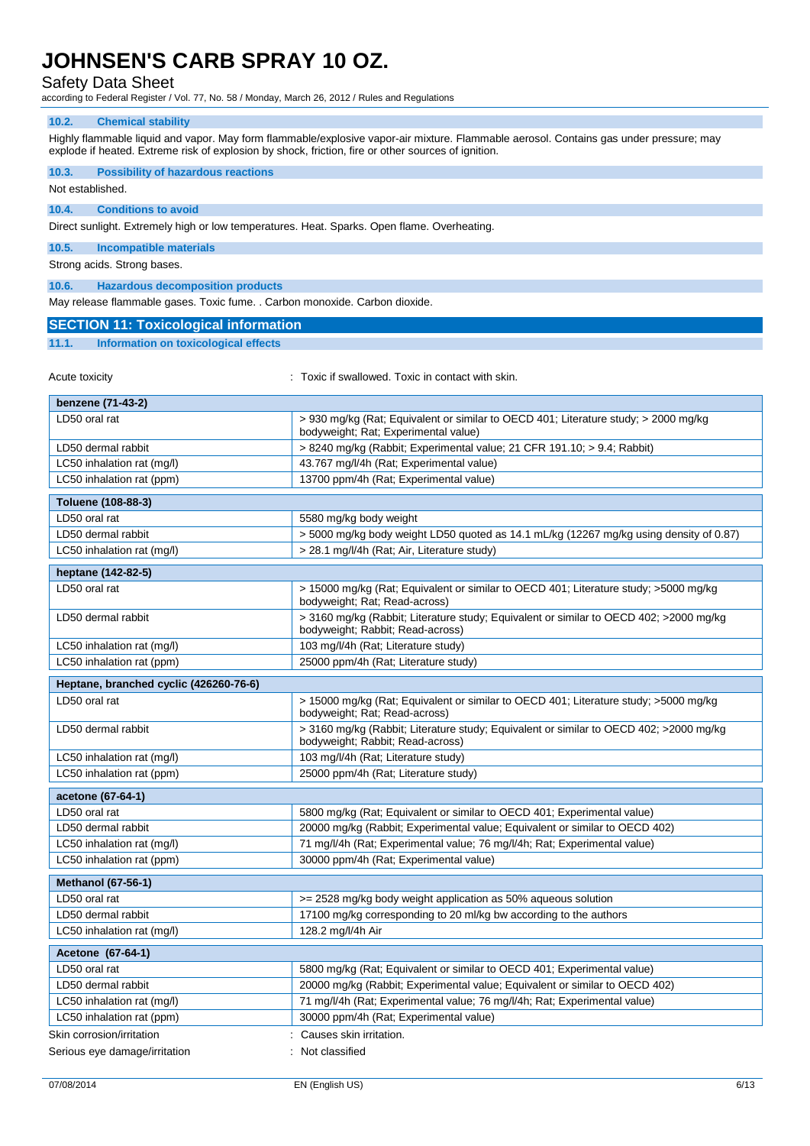### Safety Data Sheet

according to Federal Register / Vol. 77, No. 58 / Monday, March 26, 2012 / Rules and Regulations

### **10.2. Chemical stability**

Highly flammable liquid and vapor. May form flammable/explosive vapor-air mixture. Flammable aerosol. Contains gas under pressure; may explode if heated. Extreme risk of explosion by shock, friction, fire or other sources of ignition.

| 10.3.                                                                                       |                                                                                                                             |  |  |
|---------------------------------------------------------------------------------------------|-----------------------------------------------------------------------------------------------------------------------------|--|--|
| Not established.                                                                            | <b>Possibility of hazardous reactions</b>                                                                                   |  |  |
|                                                                                             |                                                                                                                             |  |  |
| <b>Conditions to avoid</b><br>10.4.                                                         |                                                                                                                             |  |  |
| Direct sunlight. Extremely high or low temperatures. Heat. Sparks. Open flame. Overheating. |                                                                                                                             |  |  |
| 10.5.<br><b>Incompatible materials</b>                                                      |                                                                                                                             |  |  |
| Strong acids. Strong bases.                                                                 |                                                                                                                             |  |  |
| 10.6.<br><b>Hazardous decomposition products</b>                                            |                                                                                                                             |  |  |
| May release flammable gases. Toxic fume. . Carbon monoxide. Carbon dioxide.                 |                                                                                                                             |  |  |
| <b>SECTION 11: Toxicological information</b>                                                |                                                                                                                             |  |  |
| 11.1.<br><b>Information on toxicological effects</b>                                        |                                                                                                                             |  |  |
|                                                                                             |                                                                                                                             |  |  |
| Acute toxicity                                                                              | : Toxic if swallowed. Toxic in contact with skin.                                                                           |  |  |
|                                                                                             |                                                                                                                             |  |  |
| benzene (71-43-2)                                                                           |                                                                                                                             |  |  |
| LD50 oral rat                                                                               | > 930 mg/kg (Rat; Equivalent or similar to OECD 401; Literature study; > 2000 mg/kg<br>bodyweight; Rat; Experimental value) |  |  |
| LD50 dermal rabbit                                                                          | > 8240 mg/kg (Rabbit; Experimental value; 21 CFR 191.10; > 9.4; Rabbit)                                                     |  |  |
| LC50 inhalation rat (mg/l)                                                                  | 43.767 mg/l/4h (Rat; Experimental value)                                                                                    |  |  |
| LC50 inhalation rat (ppm)                                                                   | 13700 ppm/4h (Rat; Experimental value)                                                                                      |  |  |
| Toluene (108-88-3)                                                                          |                                                                                                                             |  |  |
| LD50 oral rat                                                                               | 5580 mg/kg body weight                                                                                                      |  |  |
| LD50 dermal rabbit                                                                          | > 5000 mg/kg body weight LD50 quoted as 14.1 mL/kg (12267 mg/kg using density of 0.87)                                      |  |  |
| LC50 inhalation rat (mg/l)                                                                  | > 28.1 mg/l/4h (Rat; Air, Literature study)                                                                                 |  |  |
|                                                                                             |                                                                                                                             |  |  |
| heptane (142-82-5)<br>LD50 oral rat                                                         | > 15000 mg/kg (Rat; Equivalent or similar to OECD 401; Literature study; >5000 mg/kg                                        |  |  |
|                                                                                             | bodyweight; Rat; Read-across)                                                                                               |  |  |
| LD50 dermal rabbit                                                                          | > 3160 mg/kg (Rabbit; Literature study; Equivalent or similar to OECD 402; >2000 mg/kg<br>bodyweight; Rabbit; Read-across)  |  |  |
| LC50 inhalation rat (mg/l)                                                                  | 103 mg/l/4h (Rat; Literature study)                                                                                         |  |  |
| LC50 inhalation rat (ppm)                                                                   | 25000 ppm/4h (Rat; Literature study)                                                                                        |  |  |
| Heptane, branched cyclic (426260-76-6)                                                      |                                                                                                                             |  |  |
| LD50 oral rat                                                                               | > 15000 mg/kg (Rat; Equivalent or similar to OECD 401; Literature study; >5000 mg/kg<br>bodyweight; Rat; Read-across)       |  |  |
| LD50 dermal rabbit                                                                          | > 3160 mg/kg (Rabbit; Literature study; Equivalent or similar to OECD 402; > 2000 mg/kg<br>bodyweight; Rabbit; Read-across) |  |  |
| LC50 inhalation rat (mg/l)                                                                  | 103 mg/l/4h (Rat; Literature study)                                                                                         |  |  |
| LC50 inhalation rat (ppm)                                                                   | 25000 ppm/4h (Rat; Literature study)                                                                                        |  |  |
| acetone (67-64-1)                                                                           |                                                                                                                             |  |  |
| LD50 oral rat                                                                               | 5800 mg/kg (Rat; Equivalent or similar to OECD 401; Experimental value)                                                     |  |  |
| LD50 dermal rabbit                                                                          | 20000 mg/kg (Rabbit; Experimental value; Equivalent or similar to OECD 402)                                                 |  |  |
| LC50 inhalation rat (mg/l)                                                                  | 71 mg/l/4h (Rat; Experimental value; 76 mg/l/4h; Rat; Experimental value)                                                   |  |  |
| LC50 inhalation rat (ppm)                                                                   | 30000 ppm/4h (Rat; Experimental value)                                                                                      |  |  |
| <b>Methanol (67-56-1)</b>                                                                   |                                                                                                                             |  |  |
| LD50 oral rat                                                                               | >= 2528 mg/kg body weight application as 50% aqueous solution                                                               |  |  |
| LD50 dermal rabbit                                                                          | 17100 mg/kg corresponding to 20 ml/kg bw according to the authors                                                           |  |  |
| LC50 inhalation rat (mg/l)                                                                  | 128.2 mg/l/4h Air                                                                                                           |  |  |
| Acetone (67-64-1)                                                                           |                                                                                                                             |  |  |
| LD50 oral rat                                                                               | 5800 mg/kg (Rat; Equivalent or similar to OECD 401; Experimental value)                                                     |  |  |
| LD50 dermal rabbit                                                                          | 20000 mg/kg (Rabbit; Experimental value; Equivalent or similar to OECD 402)                                                 |  |  |
| LC50 inhalation rat (mg/l)                                                                  | 71 mg/l/4h (Rat; Experimental value; 76 mg/l/4h; Rat; Experimental value)                                                   |  |  |
| 30000 ppm/4h (Rat; Experimental value)<br>LC50 inhalation rat (ppm)                         |                                                                                                                             |  |  |
| Skin corrosion/irritation                                                                   | Causes skin irritation.                                                                                                     |  |  |
| Serious eye damage/irritation                                                               | Not classified                                                                                                              |  |  |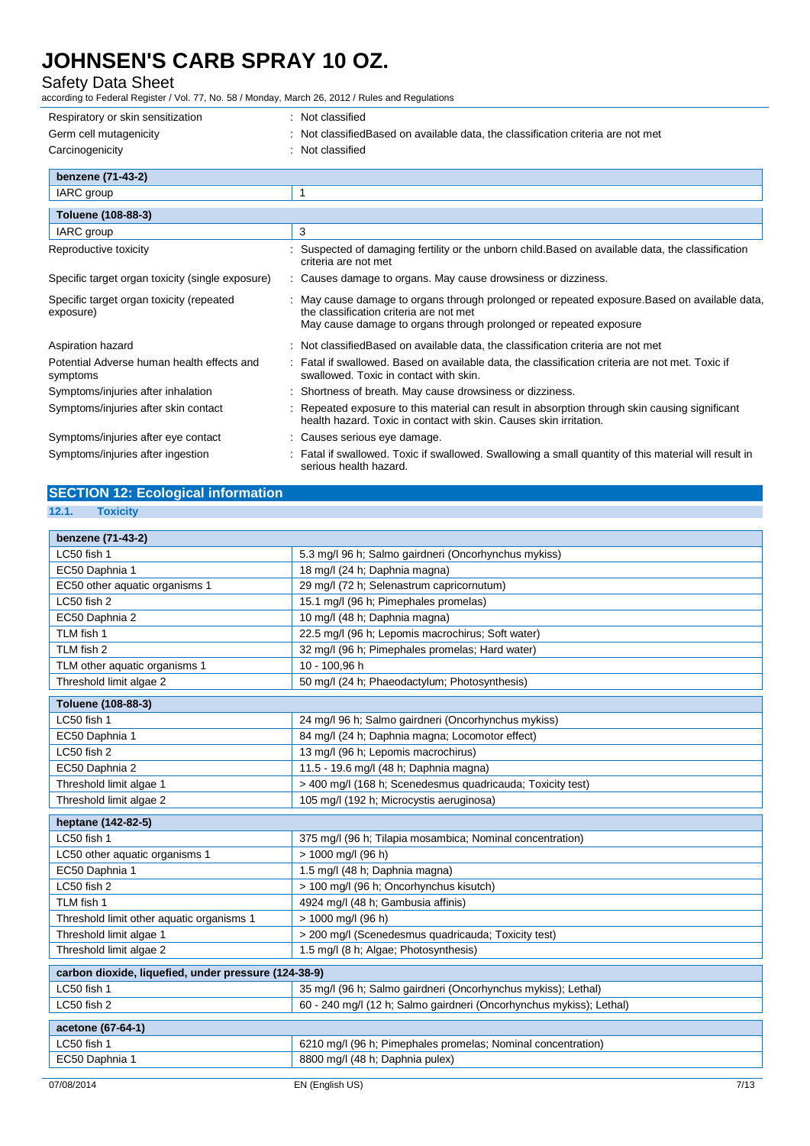### Safety Data Sheet

according to Federal Register / Vol. 77, No. 58 / Monday, March 26, 2012 / Rules and Regulations

| Respiratory or skin sensitization                      | : Not classified                                                                                                                                                                                              |
|--------------------------------------------------------|---------------------------------------------------------------------------------------------------------------------------------------------------------------------------------------------------------------|
| Germ cell mutagenicity                                 | Not classified Based on available data, the classification criteria are not met                                                                                                                               |
| Carcinogenicity                                        | Not classified                                                                                                                                                                                                |
| benzene (71-43-2)                                      |                                                                                                                                                                                                               |
| IARC group                                             | 1                                                                                                                                                                                                             |
| Toluene (108-88-3)                                     |                                                                                                                                                                                                               |
| IARC group                                             | 3                                                                                                                                                                                                             |
| Reproductive toxicity                                  | Suspected of damaging fertility or the unborn child. Based on available data, the classification<br>criteria are not met                                                                                      |
| Specific target organ toxicity (single exposure)       | : Causes damage to organs. May cause drowsiness or dizziness.                                                                                                                                                 |
| Specific target organ toxicity (repeated<br>exposure)  | : May cause damage to organs through prolonged or repeated exposure. Based on available data,<br>the classification criteria are not met<br>May cause damage to organs through prolonged or repeated exposure |
| Aspiration hazard                                      | : Not classified Based on available data, the classification criteria are not met                                                                                                                             |
| Potential Adverse human health effects and<br>symptoms | : Fatal if swallowed. Based on available data, the classification criteria are not met. Toxic if<br>swallowed. Toxic in contact with skin.                                                                    |
| Symptoms/injuries after inhalation                     | Shortness of breath. May cause drowsiness or dizziness.                                                                                                                                                       |
| Symptoms/injuries after skin contact                   | Repeated exposure to this material can result in absorption through skin causing significant<br>health hazard. Toxic in contact with skin. Causes skin irritation.                                            |
| Symptoms/injuries after eye contact                    | : Causes serious eye damage.                                                                                                                                                                                  |
| Symptoms/injuries after ingestion                      | Fatal if swallowed. Toxic if swallowed. Swallowing a small quantity of this material will result in<br>serious health hazard.                                                                                 |

## **SECTION 12: Ecological information**

**12.1. Toxicity**

| benzene (71-43-2)                                    |                                                                     |  |  |
|------------------------------------------------------|---------------------------------------------------------------------|--|--|
| LC50 fish 1                                          | 5.3 mg/l 96 h; Salmo gairdneri (Oncorhynchus mykiss)                |  |  |
| EC50 Daphnia 1                                       | 18 mg/l (24 h; Daphnia magna)                                       |  |  |
| EC50 other aquatic organisms 1                       | 29 mg/l (72 h; Selenastrum capricornutum)                           |  |  |
| LC50 fish 2                                          | 15.1 mg/l (96 h; Pimephales promelas)                               |  |  |
| EC50 Daphnia 2                                       | 10 mg/l (48 h; Daphnia magna)                                       |  |  |
| TLM fish 1                                           | 22.5 mg/l (96 h; Lepomis macrochirus; Soft water)                   |  |  |
| TLM fish 2                                           | 32 mg/l (96 h; Pimephales promelas; Hard water)                     |  |  |
| TLM other aquatic organisms 1                        | 10 - 100,96 h                                                       |  |  |
| Threshold limit algae 2                              | 50 mg/l (24 h; Phaeodactylum; Photosynthesis)                       |  |  |
| Toluene (108-88-3)                                   |                                                                     |  |  |
| LC50 fish 1                                          | 24 mg/l 96 h; Salmo gairdneri (Oncorhynchus mykiss)                 |  |  |
| EC50 Daphnia 1                                       | 84 mg/l (24 h; Daphnia magna; Locomotor effect)                     |  |  |
| LC50 fish 2                                          | 13 mg/l (96 h; Lepomis macrochirus)                                 |  |  |
| EC50 Daphnia 2                                       | 11.5 - 19.6 mg/l (48 h; Daphnia magna)                              |  |  |
| Threshold limit algae 1                              | > 400 mg/l (168 h; Scenedesmus quadricauda; Toxicity test)          |  |  |
| Threshold limit algae 2                              | 105 mg/l (192 h; Microcystis aeruginosa)                            |  |  |
| heptane (142-82-5)                                   |                                                                     |  |  |
| LC50 fish 1                                          | 375 mg/l (96 h; Tilapia mosambica; Nominal concentration)           |  |  |
| LC50 other aquatic organisms 1                       | > 1000 mg/l (96 h)                                                  |  |  |
| EC50 Daphnia 1                                       | 1.5 mg/l (48 h; Daphnia magna)                                      |  |  |
| LC50 fish 2                                          | > 100 mg/l (96 h; Oncorhynchus kisutch)                             |  |  |
| TLM fish 1                                           | 4924 mg/l (48 h; Gambusia affinis)                                  |  |  |
| Threshold limit other aquatic organisms 1            | > 1000 mg/l (96 h)                                                  |  |  |
| Threshold limit algae 1                              | > 200 mg/l (Scenedesmus quadricauda; Toxicity test)                 |  |  |
| Threshold limit algae 2                              | 1.5 mg/l (8 h; Algae; Photosynthesis)                               |  |  |
| carbon dioxide, liquefied, under pressure (124-38-9) |                                                                     |  |  |
| LC50 fish 1                                          | 35 mg/l (96 h; Salmo gairdneri (Oncorhynchus mykiss); Lethal)       |  |  |
| LC50 fish 2                                          | 60 - 240 mg/l (12 h; Salmo gairdneri (Oncorhynchus mykiss); Lethal) |  |  |
| acetone (67-64-1)                                    |                                                                     |  |  |
| LC50 fish 1                                          | 6210 mg/l (96 h; Pimephales promelas; Nominal concentration)        |  |  |
| EC50 Daphnia 1                                       | 8800 mg/l (48 h; Daphnia pulex)                                     |  |  |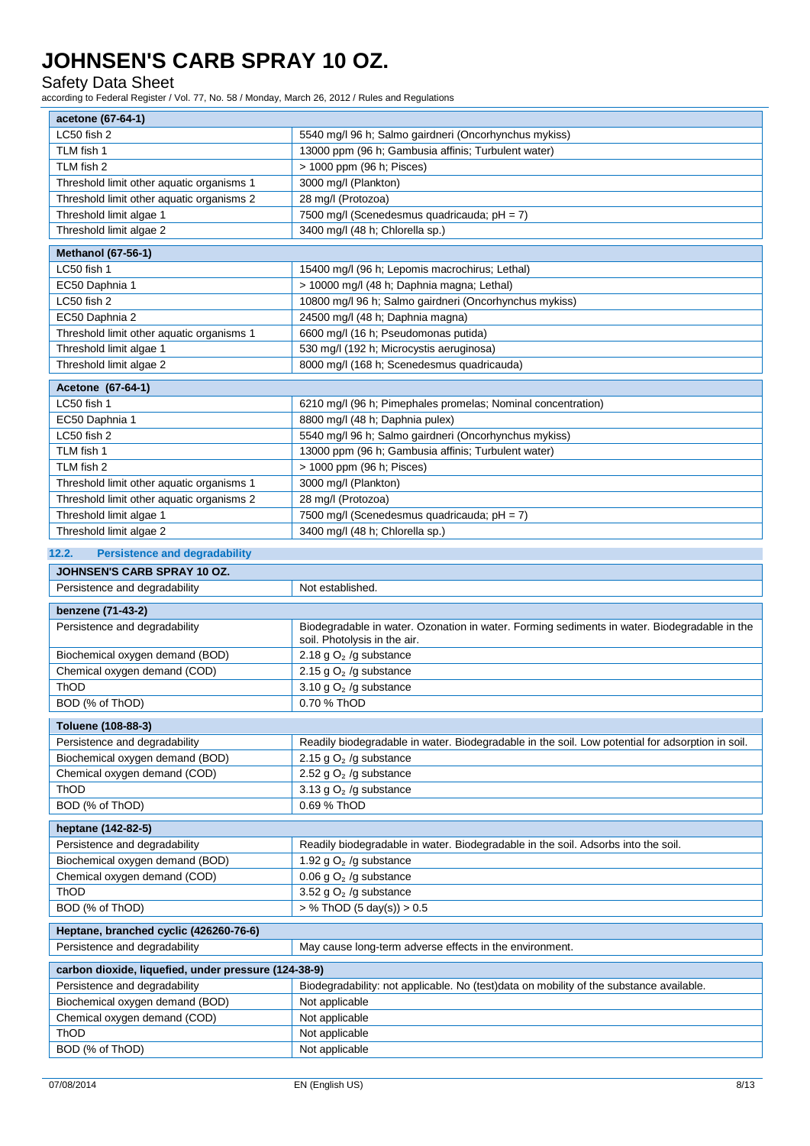### Safety Data Sheet

according to Federal Register / Vol. 77, No. 58 / Monday, March 26, 2012 / Rules and Regulations

| acetone (67-64-1)                                    |                                                                                                                              |  |  |
|------------------------------------------------------|------------------------------------------------------------------------------------------------------------------------------|--|--|
| LC50 fish 2                                          | 5540 mg/l 96 h; Salmo gairdneri (Oncorhynchus mykiss)                                                                        |  |  |
| TLM fish 1                                           | 13000 ppm (96 h; Gambusia affinis; Turbulent water)                                                                          |  |  |
| TLM fish 2                                           | > 1000 ppm (96 h; Pisces)                                                                                                    |  |  |
| Threshold limit other aquatic organisms 1            | 3000 mg/l (Plankton)                                                                                                         |  |  |
| Threshold limit other aquatic organisms 2            | 28 mg/l (Protozoa)                                                                                                           |  |  |
| Threshold limit algae 1                              | 7500 mg/l (Scenedesmus quadricauda; pH = 7)                                                                                  |  |  |
| Threshold limit algae 2                              | 3400 mg/l (48 h; Chlorella sp.)                                                                                              |  |  |
| <b>Methanol (67-56-1)</b>                            |                                                                                                                              |  |  |
| LC50 fish 1                                          | 15400 mg/l (96 h; Lepomis macrochirus; Lethal)                                                                               |  |  |
| EC50 Daphnia 1                                       | > 10000 mg/l (48 h; Daphnia magna; Lethal)                                                                                   |  |  |
| LC50 fish 2                                          | 10800 mg/l 96 h; Salmo gairdneri (Oncorhynchus mykiss)                                                                       |  |  |
| EC50 Daphnia 2                                       | 24500 mg/l (48 h; Daphnia magna)                                                                                             |  |  |
| Threshold limit other aquatic organisms 1            | 6600 mg/l (16 h; Pseudomonas putida)                                                                                         |  |  |
| Threshold limit algae 1                              | 530 mg/l (192 h; Microcystis aeruginosa)                                                                                     |  |  |
| Threshold limit algae 2                              | 8000 mg/l (168 h; Scenedesmus quadricauda)                                                                                   |  |  |
|                                                      |                                                                                                                              |  |  |
| Acetone (67-64-1)                                    |                                                                                                                              |  |  |
| LC50 fish 1                                          | 6210 mg/l (96 h; Pimephales promelas; Nominal concentration)                                                                 |  |  |
| EC50 Daphnia 1                                       | 8800 mg/l (48 h; Daphnia pulex)                                                                                              |  |  |
| LC50 fish 2                                          | 5540 mg/l 96 h; Salmo gairdneri (Oncorhynchus mykiss)                                                                        |  |  |
| TLM fish 1                                           | 13000 ppm (96 h; Gambusia affinis; Turbulent water)                                                                          |  |  |
| TLM fish 2                                           | > 1000 ppm (96 h; Pisces)                                                                                                    |  |  |
| Threshold limit other aquatic organisms 1            | 3000 mg/l (Plankton)<br>28 mg/l (Protozoa)                                                                                   |  |  |
| Threshold limit other aquatic organisms 2            |                                                                                                                              |  |  |
| Threshold limit algae 1                              | 7500 mg/l (Scenedesmus quadricauda; pH = 7)<br>3400 mg/l (48 h; Chlorella sp.)                                               |  |  |
| Threshold limit algae 2                              |                                                                                                                              |  |  |
| 12.2.<br><b>Persistence and degradability</b>        |                                                                                                                              |  |  |
| JOHNSEN'S CARB SPRAY 10 OZ.                          |                                                                                                                              |  |  |
| Persistence and degradability                        | Not established.                                                                                                             |  |  |
|                                                      |                                                                                                                              |  |  |
|                                                      |                                                                                                                              |  |  |
| benzene (71-43-2)                                    |                                                                                                                              |  |  |
| Persistence and degradability                        | Biodegradable in water. Ozonation in water. Forming sediments in water. Biodegradable in the<br>soil. Photolysis in the air. |  |  |
| Biochemical oxygen demand (BOD)                      | 2.18 g $O2$ /g substance                                                                                                     |  |  |
| Chemical oxygen demand (COD)                         | 2.15 g $O2$ /g substance                                                                                                     |  |  |
| ThOD                                                 | 3.10 g $O2$ /g substance                                                                                                     |  |  |
| BOD (% of ThOD)                                      | 0.70 % ThOD                                                                                                                  |  |  |
|                                                      |                                                                                                                              |  |  |
| Toluene (108-88-3)                                   |                                                                                                                              |  |  |
| Persistence and degradability                        | Readily biodegradable in water. Biodegradable in the soil. Low potential for adsorption in soil.                             |  |  |
| Biochemical oxygen demand (BOD)                      | 2.15 g $O2$ /g substance                                                                                                     |  |  |
| Chemical oxygen demand (COD)                         | 2.52 g $O2$ /g substance                                                                                                     |  |  |
| ThOD                                                 | 3.13 g $O2$ /g substance                                                                                                     |  |  |
| BOD (% of ThOD)                                      | 0.69 % ThOD                                                                                                                  |  |  |
| heptane (142-82-5)                                   |                                                                                                                              |  |  |
| Persistence and degradability                        | Readily biodegradable in water. Biodegradable in the soil. Adsorbs into the soil.                                            |  |  |
| Biochemical oxygen demand (BOD)                      | 1.92 g $O2$ /g substance                                                                                                     |  |  |
| Chemical oxygen demand (COD)                         | 0.06 g $O2$ /g substance                                                                                                     |  |  |
| ThOD                                                 | 3.52 g $O2$ /g substance                                                                                                     |  |  |
| BOD (% of ThOD)                                      | > % ThOD (5 day(s)) > 0.5                                                                                                    |  |  |
| Heptane, branched cyclic (426260-76-6)               |                                                                                                                              |  |  |
| Persistence and degradability                        | May cause long-term adverse effects in the environment.                                                                      |  |  |
|                                                      |                                                                                                                              |  |  |
| carbon dioxide, liquefied, under pressure (124-38-9) |                                                                                                                              |  |  |
| Persistence and degradability                        | Biodegradability: not applicable. No (test)data on mobility of the substance available.                                      |  |  |
| Biochemical oxygen demand (BOD)                      | Not applicable                                                                                                               |  |  |
| Chemical oxygen demand (COD)                         | Not applicable                                                                                                               |  |  |
| ThOD<br>BOD (% of ThOD)                              | Not applicable<br>Not applicable                                                                                             |  |  |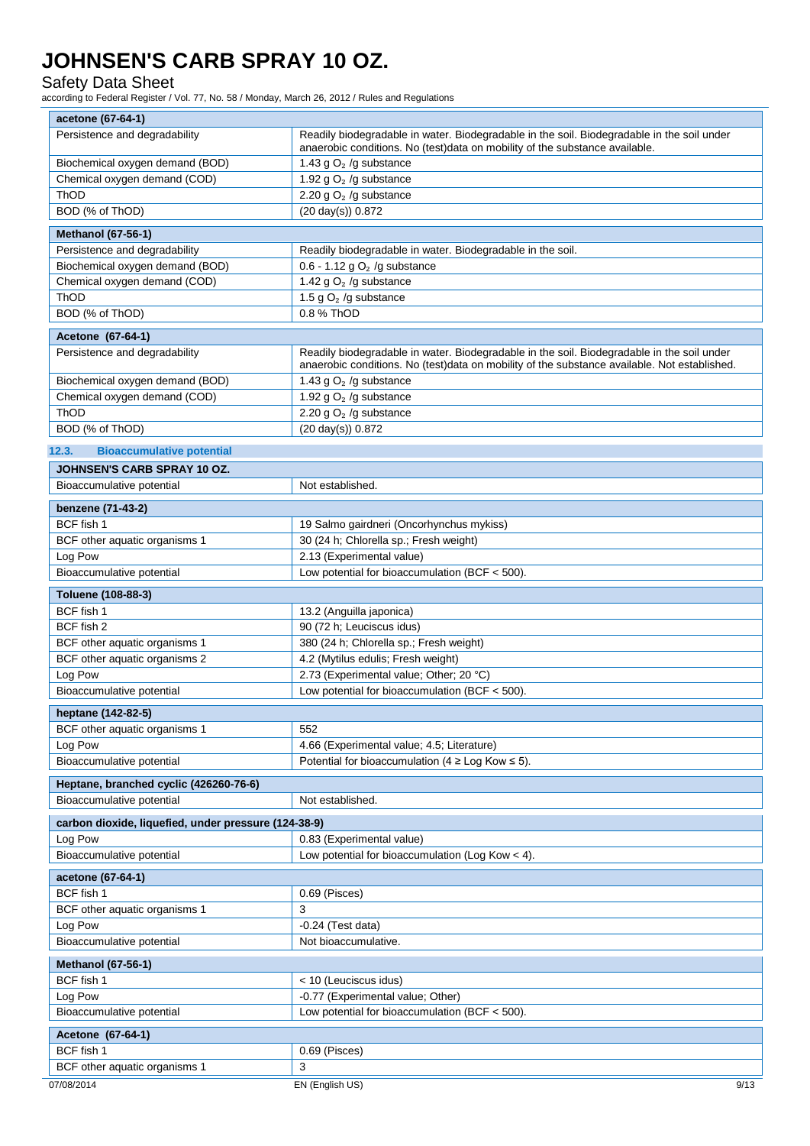### Safety Data Sheet

according to Federal Register / Vol. 77, No. 58 / Monday, March 26, 2012 / Rules and Regulations

| acetone (67-64-1)                                    |                                                                                                                                                                                            |  |  |
|------------------------------------------------------|--------------------------------------------------------------------------------------------------------------------------------------------------------------------------------------------|--|--|
| Persistence and degradability                        | Readily biodegradable in water. Biodegradable in the soil. Biodegradable in the soil under<br>anaerobic conditions. No (test)data on mobility of the substance available.                  |  |  |
| Biochemical oxygen demand (BOD)                      | 1.43 g $O2$ /g substance                                                                                                                                                                   |  |  |
| Chemical oxygen demand (COD)                         | 1.92 g $O2$ /g substance                                                                                                                                                                   |  |  |
| ThOD                                                 | 2.20 g $O2$ /g substance                                                                                                                                                                   |  |  |
| BOD (% of ThOD)                                      | (20 day(s)) 0.872                                                                                                                                                                          |  |  |
| <b>Methanol (67-56-1)</b>                            |                                                                                                                                                                                            |  |  |
| Persistence and degradability                        | Readily biodegradable in water. Biodegradable in the soil.                                                                                                                                 |  |  |
| Biochemical oxygen demand (BOD)                      | $0.6 - 1.12$ g O <sub>2</sub> /g substance                                                                                                                                                 |  |  |
| Chemical oxygen demand (COD)                         | 1.42 g $O2$ /g substance                                                                                                                                                                   |  |  |
| ThOD                                                 | 1.5 g $O2$ /g substance                                                                                                                                                                    |  |  |
| BOD (% of ThOD)                                      | 0.8 % ThOD                                                                                                                                                                                 |  |  |
| Acetone (67-64-1)                                    |                                                                                                                                                                                            |  |  |
| Persistence and degradability                        | Readily biodegradable in water. Biodegradable in the soil. Biodegradable in the soil under<br>anaerobic conditions. No (test)data on mobility of the substance available. Not established. |  |  |
| Biochemical oxygen demand (BOD)                      | 1.43 g $O2$ /g substance                                                                                                                                                                   |  |  |
| Chemical oxygen demand (COD)                         | 1.92 g $O2$ /g substance                                                                                                                                                                   |  |  |
| <b>ThOD</b>                                          | 2.20 g $O2$ /g substance                                                                                                                                                                   |  |  |
| BOD (% of ThOD)                                      | (20 day(s)) 0.872                                                                                                                                                                          |  |  |
| 12.3.<br><b>Bioaccumulative potential</b>            |                                                                                                                                                                                            |  |  |
| <b>JOHNSEN'S CARB SPRAY 10 OZ.</b>                   |                                                                                                                                                                                            |  |  |
| Bioaccumulative potential                            | Not established.                                                                                                                                                                           |  |  |
| benzene (71-43-2)                                    |                                                                                                                                                                                            |  |  |
| BCF fish 1                                           | 19 Salmo gairdneri (Oncorhynchus mykiss)                                                                                                                                                   |  |  |
| BCF other aquatic organisms 1                        | 30 (24 h; Chlorella sp.; Fresh weight)                                                                                                                                                     |  |  |
| Log Pow                                              | 2.13 (Experimental value)                                                                                                                                                                  |  |  |
| Bioaccumulative potential                            | Low potential for bioaccumulation (BCF $<$ 500).                                                                                                                                           |  |  |
| Toluene (108-88-3)                                   |                                                                                                                                                                                            |  |  |
| BCF fish 1                                           | 13.2 (Anguilla japonica)                                                                                                                                                                   |  |  |
| BCF fish 2                                           | 90 (72 h; Leuciscus idus)                                                                                                                                                                  |  |  |
| BCF other aquatic organisms 1                        | 380 (24 h; Chlorella sp.; Fresh weight)                                                                                                                                                    |  |  |
| BCF other aquatic organisms 2                        | 4.2 (Mytilus edulis; Fresh weight)                                                                                                                                                         |  |  |
| Log Pow                                              | 2.73 (Experimental value; Other; 20 °C)                                                                                                                                                    |  |  |
| Bioaccumulative potential                            | Low potential for bioaccumulation (BCF $<$ 500).                                                                                                                                           |  |  |
| heptane (142-82-5)                                   |                                                                                                                                                                                            |  |  |
| BCF other aquatic organisms 1                        | 552                                                                                                                                                                                        |  |  |
| Log Pow                                              | 4.66 (Experimental value; 4.5; Literature)                                                                                                                                                 |  |  |
| Bioaccumulative potential                            | Potential for bioaccumulation ( $4 \geq$ Log Kow $\leq$ 5).                                                                                                                                |  |  |
| Heptane, branched cyclic (426260-76-6)               |                                                                                                                                                                                            |  |  |
| Bioaccumulative potential                            | Not established.                                                                                                                                                                           |  |  |
| carbon dioxide, liquefied, under pressure (124-38-9) |                                                                                                                                                                                            |  |  |
| Log Pow                                              | 0.83 (Experimental value)                                                                                                                                                                  |  |  |
| Bioaccumulative potential                            | Low potential for bioaccumulation (Log Kow $<$ 4).                                                                                                                                         |  |  |
| acetone (67-64-1)                                    |                                                                                                                                                                                            |  |  |
| BCF fish 1                                           | 0.69 (Pisces)                                                                                                                                                                              |  |  |
| BCF other aquatic organisms 1                        | 3                                                                                                                                                                                          |  |  |
| Log Pow                                              | $-0.24$ (Test data)                                                                                                                                                                        |  |  |
| Bioaccumulative potential                            | Not bioaccumulative.                                                                                                                                                                       |  |  |
| <b>Methanol (67-56-1)</b>                            |                                                                                                                                                                                            |  |  |
| BCF fish 1                                           | < 10 (Leuciscus idus)                                                                                                                                                                      |  |  |
| Log Pow                                              | -0.77 (Experimental value; Other)                                                                                                                                                          |  |  |
| Bioaccumulative potential                            | Low potential for bioaccumulation (BCF $<$ 500).                                                                                                                                           |  |  |
| Acetone (67-64-1)                                    |                                                                                                                                                                                            |  |  |
| BCF fish 1                                           | 0.69 (Pisces)                                                                                                                                                                              |  |  |
| BCF other aquatic organisms 1                        | 3                                                                                                                                                                                          |  |  |
| 07/08/2014                                           | EN (English US)<br>9/13                                                                                                                                                                    |  |  |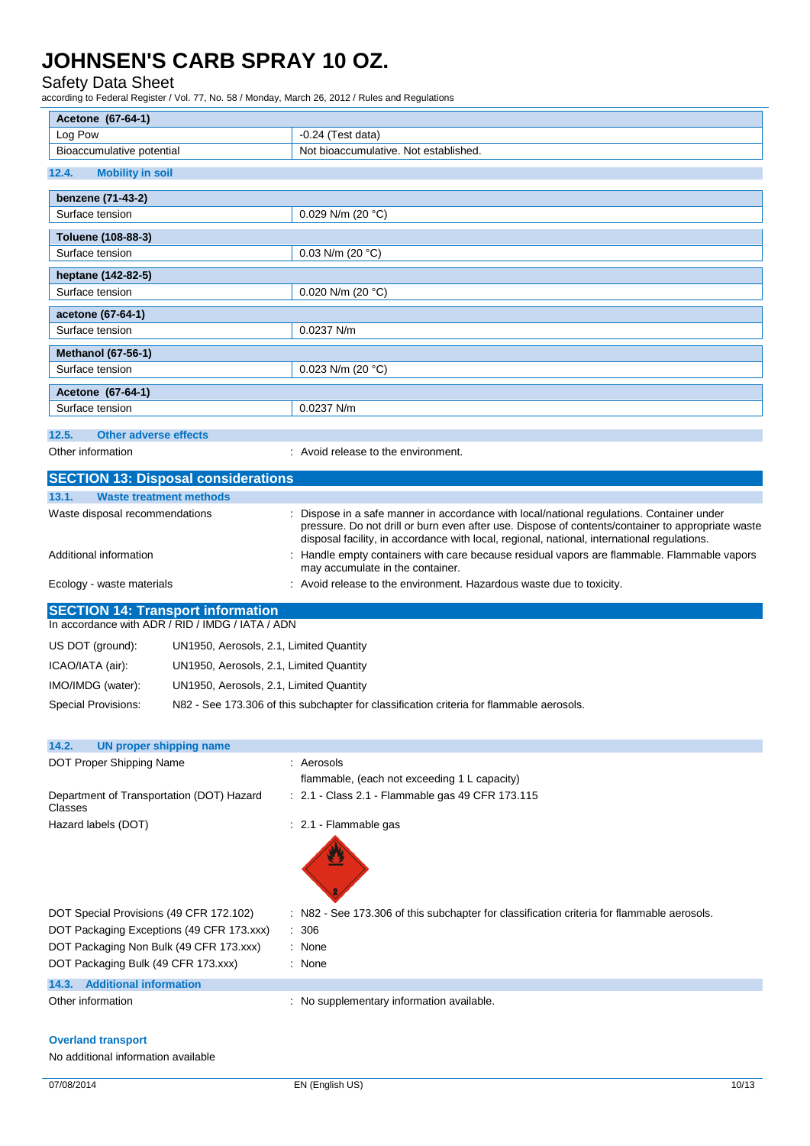### Safety Data Sheet

according to Federal Register / Vol. 77, No. 58 / Monday, March 26, 2012 / Rules and Regulations

| Acetone (67-64-1)                                                                            |                                                                                                                               |  |  |
|----------------------------------------------------------------------------------------------|-------------------------------------------------------------------------------------------------------------------------------|--|--|
| Log Pow                                                                                      | $-0.24$ (Test data)                                                                                                           |  |  |
| Bioaccumulative potential                                                                    | Not bioaccumulative. Not established.                                                                                         |  |  |
| 12.4.<br><b>Mobility in soil</b>                                                             |                                                                                                                               |  |  |
| benzene (71-43-2)                                                                            |                                                                                                                               |  |  |
| Surface tension                                                                              | 0.029 N/m (20 $°C$ )                                                                                                          |  |  |
|                                                                                              |                                                                                                                               |  |  |
| Toluene (108-88-3)<br>Surface tension                                                        | 0.03 N/m (20 $°C$ )                                                                                                           |  |  |
|                                                                                              |                                                                                                                               |  |  |
| heptane (142-82-5)<br>Surface tension                                                        | 0.020 N/m (20 $°C$ )                                                                                                          |  |  |
|                                                                                              |                                                                                                                               |  |  |
| acetone (67-64-1)<br>Surface tension                                                         | 0.0237 N/m                                                                                                                    |  |  |
|                                                                                              |                                                                                                                               |  |  |
| <b>Methanol (67-56-1)</b>                                                                    |                                                                                                                               |  |  |
| Surface tension                                                                              | 0.023 N/m (20 $°C$ )                                                                                                          |  |  |
| Acetone (67-64-1)                                                                            |                                                                                                                               |  |  |
| Surface tension                                                                              | 0.0237 N/m                                                                                                                    |  |  |
| 12.5.<br><b>Other adverse effects</b>                                                        |                                                                                                                               |  |  |
| Other information                                                                            | : Avoid release to the environment.                                                                                           |  |  |
| <b>SECTION 13: Disposal considerations</b>                                                   |                                                                                                                               |  |  |
| 13.1.<br><b>Waste treatment methods</b>                                                      |                                                                                                                               |  |  |
| Waste disposal recommendations                                                               | Dispose in a safe manner in accordance with local/national regulations. Container under                                       |  |  |
|                                                                                              | pressure. Do not drill or burn even after use. Dispose of contents/container to appropriate waste                             |  |  |
|                                                                                              | disposal facility, in accordance with local, regional, national, international regulations.                                   |  |  |
| Additional information                                                                       | Handle empty containers with care because residual vapors are flammable. Flammable vapors<br>may accumulate in the container. |  |  |
| Ecology - waste materials                                                                    | : Avoid release to the environment. Hazardous waste due to toxicity.                                                          |  |  |
|                                                                                              |                                                                                                                               |  |  |
| <b>SECTION 14: Transport information</b><br>In accordance with ADR / RID / IMDG / IATA / ADN |                                                                                                                               |  |  |
| US DOT (ground):<br>UN1950, Aerosols, 2.1, Limited Quantity                                  |                                                                                                                               |  |  |
| UN1950, Aerosols, 2.1, Limited Quantity                                                      |                                                                                                                               |  |  |
| ICAO/IATA (air):                                                                             |                                                                                                                               |  |  |
| IMO/IMDG (water):<br>UN1950, Aerosols, 2.1, Limited Quantity                                 |                                                                                                                               |  |  |
| <b>Special Provisions:</b>                                                                   | N82 - See 173.306 of this subchapter for classification criteria for flammable aerosols.                                      |  |  |
|                                                                                              |                                                                                                                               |  |  |
| <b>UN proper shipping name</b><br>14.2.                                                      |                                                                                                                               |  |  |
| DOT Proper Shipping Name                                                                     | : Aerosols                                                                                                                    |  |  |
|                                                                                              | flammable, (each not exceeding 1 L capacity)                                                                                  |  |  |
| Department of Transportation (DOT) Hazard<br>Classes                                         | : 2.1 - Class 2.1 - Flammable gas 49 CFR 173.115                                                                              |  |  |
| Hazard labels (DOT)                                                                          | : 2.1 - Flammable gas                                                                                                         |  |  |
|                                                                                              |                                                                                                                               |  |  |
|                                                                                              |                                                                                                                               |  |  |
|                                                                                              |                                                                                                                               |  |  |
|                                                                                              |                                                                                                                               |  |  |
| DOT Special Provisions (49 CFR 172.102)                                                      | : N82 - See 173.306 of this subchapter for classification criteria for flammable aerosols.                                    |  |  |
| DOT Packaging Exceptions (49 CFR 173.xxx)                                                    | 306                                                                                                                           |  |  |
| DOT Packaging Non Bulk (49 CFR 173.xxx)                                                      | : None                                                                                                                        |  |  |
| DOT Packaging Bulk (49 CFR 173.xxx)                                                          | : None                                                                                                                        |  |  |
| <b>Additional information</b><br>14.3.                                                       |                                                                                                                               |  |  |
| Other information                                                                            | : No supplementary information available.                                                                                     |  |  |

### **Overland transport**

No additional information available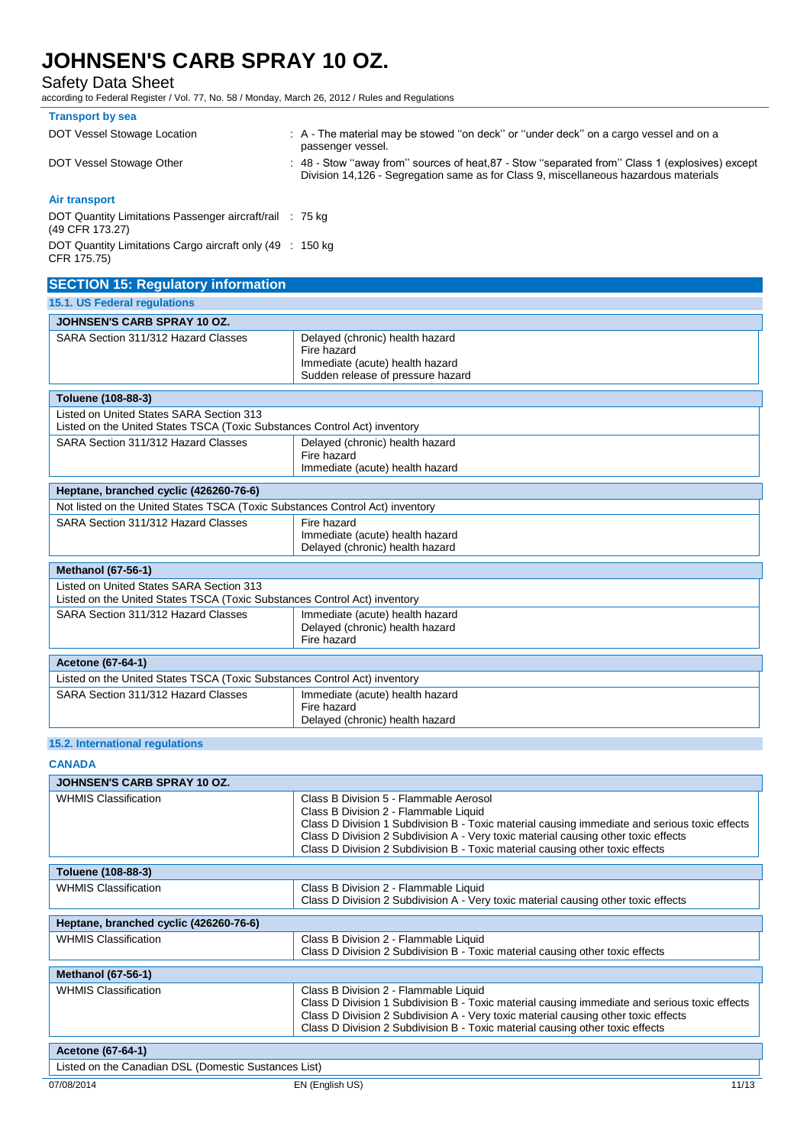Safety Data Sheet

according to Federal Register / Vol. 77, No. 58 / Monday, March 26, 2012 / Rules and Regulations

| <b>Transport by sea</b>                                                     |                                                                                                                                                                                        |
|-----------------------------------------------------------------------------|----------------------------------------------------------------------------------------------------------------------------------------------------------------------------------------|
| DOT Vessel Stowage Location                                                 | : A - The material may be stowed "on deck" or "under deck" on a cargo vessel and on a<br>passenger vessel.                                                                             |
| DOT Vessel Stowage Other                                                    | : 48 - Stow "away from" sources of heat 87 - Stow "separated from" Class 1 (explosives) except<br>Division 14,126 - Segregation same as for Class 9, miscellaneous hazardous materials |
| Air transport                                                               |                                                                                                                                                                                        |
| DOT Quantity Limitations Passenger aircraft/rail : 75 kg<br>(49 CFR 173.27) |                                                                                                                                                                                        |
| DOT Quantity Limitations Cargo aircraft only (49 : 150 kg)<br>CFR 175.75)   |                                                                                                                                                                                        |
| <b>SECTION 15: Regulatory information</b>                                   |                                                                                                                                                                                        |

| <b>15.1. US Federal regulations</b>                                                                                   |                                                                                                                        |  |
|-----------------------------------------------------------------------------------------------------------------------|------------------------------------------------------------------------------------------------------------------------|--|
| JOHNSEN'S CARB SPRAY 10 OZ.                                                                                           |                                                                                                                        |  |
| SARA Section 311/312 Hazard Classes                                                                                   | Delayed (chronic) health hazard<br>Fire hazard<br>Immediate (acute) health hazard<br>Sudden release of pressure hazard |  |
| Toluene (108-88-3)                                                                                                    |                                                                                                                        |  |
| Listed on United States SARA Section 313<br>Listed on the United States TSCA (Toxic Substances Control Act) inventory |                                                                                                                        |  |
| SARA Section 311/312 Hazard Classes                                                                                   | Delayed (chronic) health hazard<br>Fire hazard<br>Immediate (acute) health hazard                                      |  |
| Heptane, branched cyclic (426260-76-6)                                                                                |                                                                                                                        |  |
| Not listed on the United States TSCA (Toxic Substances Control Act) inventory                                         |                                                                                                                        |  |
| SARA Section 311/312 Hazard Classes                                                                                   | Fire hazard<br>Immediate (acute) health hazard<br>Delayed (chronic) health hazard                                      |  |
| <b>Methanol (67-56-1)</b>                                                                                             |                                                                                                                        |  |
| Listed on United States SARA Section 313<br>Listed on the United States TSCA (Toxic Substances Control Act) inventory |                                                                                                                        |  |
| SARA Section 311/312 Hazard Classes                                                                                   | Immediate (acute) health hazard<br>Delayed (chronic) health hazard<br>Fire hazard                                      |  |
| <b>Acetone (67-64-1)</b>                                                                                              |                                                                                                                        |  |
| Listed on the United States TSCA (Toxic Substances Control Act) inventory                                             |                                                                                                                        |  |
| SARA Section 311/312 Hazard Classes                                                                                   | Immediate (acute) health hazard<br>Fire hazard<br>Delayed (chronic) health hazard                                      |  |

## **15.2. International regulations**

**CANADA**

| <b>JOHNSEN'S CARB SPRAY 10 OZ.</b>                   |                                                                                                                                                                                                                                                                                                                                                         |  |
|------------------------------------------------------|---------------------------------------------------------------------------------------------------------------------------------------------------------------------------------------------------------------------------------------------------------------------------------------------------------------------------------------------------------|--|
| <b>WHMIS Classification</b>                          | Class B Division 5 - Flammable Aerosol<br>Class B Division 2 - Flammable Liquid<br>Class D Division 1 Subdivision B - Toxic material causing immediate and serious toxic effects<br>Class D Division 2 Subdivision A - Very toxic material causing other toxic effects<br>Class D Division 2 Subdivision B - Toxic material causing other toxic effects |  |
| Toluene (108-88-3)                                   |                                                                                                                                                                                                                                                                                                                                                         |  |
| <b>WHMIS Classification</b>                          | Class B Division 2 - Flammable Liquid<br>Class D Division 2 Subdivision A - Very toxic material causing other toxic effects                                                                                                                                                                                                                             |  |
| Heptane, branched cyclic (426260-76-6)               |                                                                                                                                                                                                                                                                                                                                                         |  |
| <b>WHMIS Classification</b>                          | Class B Division 2 - Flammable Liquid<br>Class D Division 2 Subdivision B - Toxic material causing other toxic effects                                                                                                                                                                                                                                  |  |
| <b>Methanol (67-56-1)</b>                            |                                                                                                                                                                                                                                                                                                                                                         |  |
| <b>WHMIS Classification</b>                          | Class B Division 2 - Flammable Liquid<br>Class D Division 1 Subdivision B - Toxic material causing immediate and serious toxic effects<br>Class D Division 2 Subdivision A - Very toxic material causing other toxic effects<br>Class D Division 2 Subdivision B - Toxic material causing other toxic effects                                           |  |
| <b>Acetone (67-64-1)</b>                             |                                                                                                                                                                                                                                                                                                                                                         |  |
| Listed on the Canadian DSL (Domestic Sustances List) |                                                                                                                                                                                                                                                                                                                                                         |  |
| 07/08/2014                                           | 11/13<br>EN (English US)                                                                                                                                                                                                                                                                                                                                |  |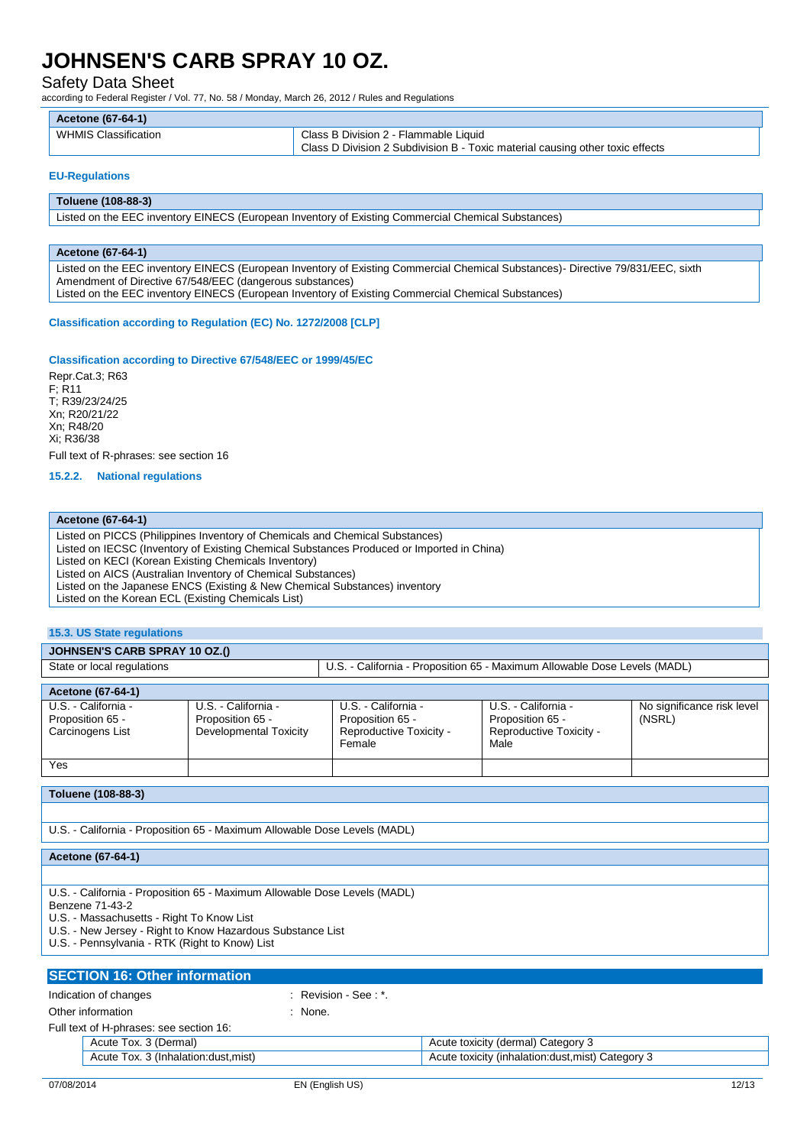Safety Data Sheet

according to Federal Register / Vol. 77, No. 58 / Monday, March 26, 2012 / Rules and Regulations

| Acetone (67-64-1) |  |
|-------------------|--|
|-------------------|--|

| WHMIS Classification | Class B Division 2 - Flammable Liquid                                         |
|----------------------|-------------------------------------------------------------------------------|
|                      | Class D Division 2 Subdivision B - Toxic material causing other toxic effects |

#### **EU-Regulations**

#### **Toluene (108-88-3)**

Listed on the EEC inventory EINECS (European Inventory of Existing Commercial Chemical Substances)

#### **Acetone (67-64-1)**

Listed on the EEC inventory EINECS (European Inventory of Existing Commercial Chemical Substances)- Directive 79/831/EEC, sixth Amendment of Directive 67/548/EEC (dangerous substances) Listed on the EEC inventory EINECS (European Inventory of Existing Commercial Chemical Substances)

#### **Classification according to Regulation (EC) No. 1272/2008 [CLP]**

#### **Classification according to Directive 67/548/EEC or 1999/45/EC**

Repr.Cat.3; R63 F; R11 T; R39/23/24/25 Xn; R20/21/22 Xn; R48/20 Xi; R36/38 Full text of R-phrases: see section 16

**15.2.2. National regulations**

#### **Acetone (67-64-1)**

Listed on PICCS (Philippines Inventory of Chemicals and Chemical Substances) Listed on IECSC (Inventory of Existing Chemical Substances Produced or Imported in China) Listed on KECI (Korean Existing Chemicals Inventory) Listed on AICS (Australian Inventory of Chemical Substances) Listed on the Japanese ENCS (Existing & New Chemical Substances) inventory Listed on the Korean ECL (Existing Chemicals List)

### **15.3. US State regulations**

### **JOHNSEN'S CARB SPRAY 10 OZ.()**

| State or local regulations |                        | U.S. - California - Proposition 65 - Maximum Allowable Dose Levels (MADL) |                         |                            |
|----------------------------|------------------------|---------------------------------------------------------------------------|-------------------------|----------------------------|
|                            |                        |                                                                           |                         |                            |
| Acetone (67-64-1)          |                        |                                                                           |                         |                            |
| U.S. - California -        | U.S. - California -    | U.S. - California -                                                       | U.S. - California -     | No significance risk level |
| Proposition 65 -           | Proposition 65 -       | Proposition 65 -                                                          | Proposition 65 -        | (NSRL)                     |
| Carcinogens List           | Developmental Toxicity | Reproductive Toxicity -                                                   | Reproductive Toxicity - |                            |
|                            |                        | Female                                                                    | Male                    |                            |

## **Toluene (108-88-3)**

Yes

U.S. - California - Proposition 65 - Maximum Allowable Dose Levels (MADL)

**Acetone (67-64-1)**

U.S. - California - Proposition 65 - Maximum Allowable Dose Levels (MADL)

Benzene 71-43-2

U.S. - Massachusetts - Right To Know List

U.S. - New Jersey - Right to Know Hazardous Substance List

U.S. - Pennsylvania - RTK (Right to Know) List

### **SECTION 16: Other information** Indication of changes in the second of  $\mathbb{R}$  Revision - See : \*. Other information in the set of the set of the set of the set of the set of the set of the set of the set of the set of the set of the set of the set of the set of the set of the set of the set of the set of the set of the Full text of H-phrases: see section 16: Acute Tox. 3 (Dermal) **Acute Tox. 3 (Dermal)** Acute toxicity (dermal) Category 3 Acute Tox. 3 (Inhalation:dust,mist) Acute toxicity (inhalation:dust,mist) Category 3